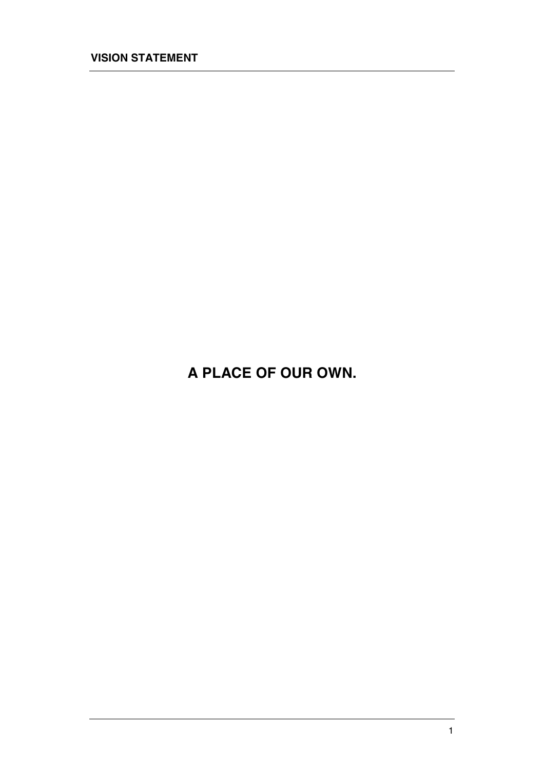**A PLACE OF OUR OWN.**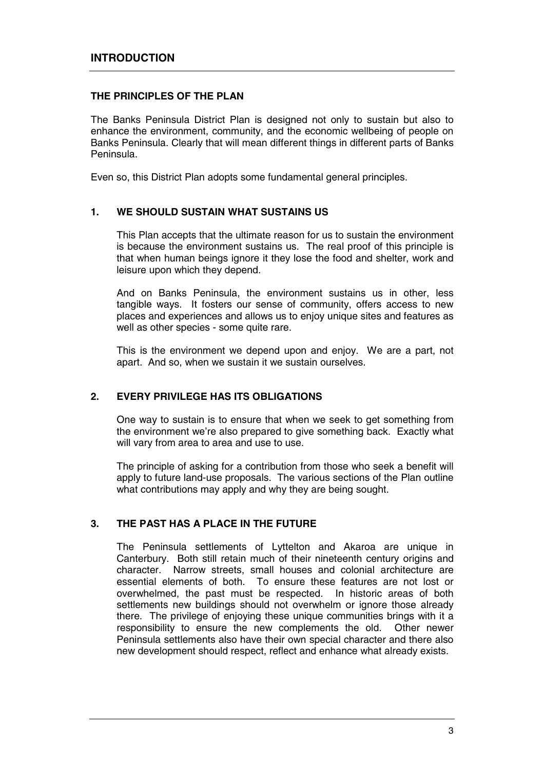## **THE PRINCIPLES OF THE PLAN**

The Banks Peninsula District Plan is designed not only to sustain but also to enhance the environment, community, and the economic wellbeing of people on Banks Peninsula. Clearly that will mean different things in different parts of Banks Peninsula.

Even so, this District Plan adopts some fundamental general principles.

# **1. WE SHOULD SUSTAIN WHAT SUSTAINS US**

This Plan accepts that the ultimate reason for us to sustain the environment is because the environment sustains us. The real proof of this principle is that when human beings ignore it they lose the food and shelter, work and leisure upon which they depend.

And on Banks Peninsula, the environment sustains us in other, less tangible ways. It fosters our sense of community, offers access to new places and experiences and allows us to enjoy unique sites and features as well as other species - some quite rare.

This is the environment we depend upon and enjoy. We are a part, not apart. And so, when we sustain it we sustain ourselves.

# **2. EVERY PRIVILEGE HAS ITS OBLIGATIONS**

One way to sustain is to ensure that when we seek to get something from the environment we're also prepared to give something back. Exactly what will vary from area to area and use to use.

The principle of asking for a contribution from those who seek a benefit will apply to future land-use proposals. The various sections of the Plan outline what contributions may apply and why they are being sought.

### **3. THE PAST HAS A PLACE IN THE FUTURE**

The Peninsula settlements of Lyttelton and Akaroa are unique in Canterbury. Both still retain much of their nineteenth century origins and character. Narrow streets, small houses and colonial architecture are essential elements of both. To ensure these features are not lost or overwhelmed, the past must be respected. In historic areas of both settlements new buildings should not overwhelm or ignore those already there. The privilege of enjoying these unique communities brings with it a responsibility to ensure the new complements the old. Other newer Peninsula settlements also have their own special character and there also new development should respect, reflect and enhance what already exists.